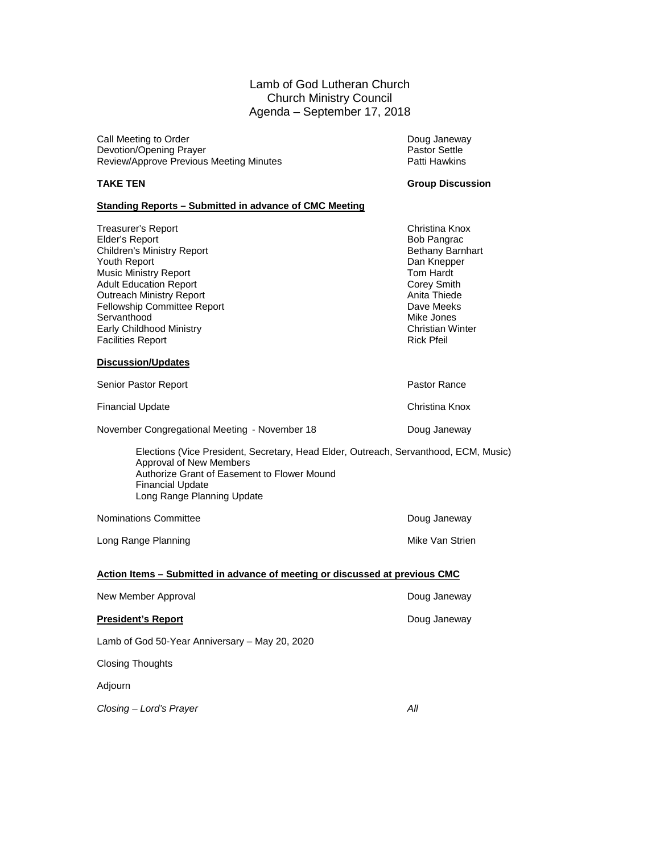### Lamb of God Lutheran Church Church Ministry Council Agenda – September 17, 2018

Call Meeting to Order National Call Meeting to Order National Control of Call Meeting Doug Janeway<br>
Devotion/Opening Prayer National Control of Call Meeting Devotion/Opening Prayer National Control of Call Meet Devotion/Opening Prayer <br>
Review/Approve Previous Meeting Minutes<br>
Patti Hawkins Review/Approve Previous Meeting Minutes

#### **TAKE TEN Group Discussion**

#### **Standing Reports – Submitted in advance of CMC Meeting**

Treasurer's Report Christina Knox Elder's Report **Elder's Report Contains a Solution Children's Ministry Report Children's Ministry Report Children's Ministry Report Children's Ministry Report Children's Ministry Report Children's Ministry Report Children'** Children's Ministry Report **Bethany Barnhart Children's Ministry Report** Bethany Barnhart Bethany Barnhart Bethany Barnhart Bethany Barnhart Bethany Barnhart Bethany Barnhart Bethany Barnhart Bethany Barnhart Bethany Barnh Youth Report Dan Knepper Music Ministry Report **Tom Hardt** Tom Hardt **Tom Hardt** Adult Education Report **Tom Hardt** Adult Education Report **Corey Smith Corey Smith Corey Smith Corey Smith Corey Smith Corey Smith Corey Smith Corey Smith Corey Smith Corey Smith Corey Smith Corey Smith Corey Smith Corey Smith Corey Smith Corey Smith Corey** Outreach Ministry Report **Anita Thiede Structure Control** Anita Thiede<br>
Fellowship Committee Report Anita Thiede Committee Report Fellowship Committee Report **Dave Meeks**<br>
Servanthood Mike Jones Servanthood Early Childhood Ministry **Christian Winter Christian Winter Facilities Report** Christian Winter Facilities Report Facilities Report

#### **Discussion/Updates**

| Senior Pastor Report                          | Pastor Rance   |
|-----------------------------------------------|----------------|
| <b>Financial Update</b>                       | Christina Knox |
| November Congregational Meeting - November 18 | Doug Janeway   |

Elections (Vice President, Secretary, Head Elder, Outreach, Servanthood, ECM, Music) Approval of New Members Authorize Grant of Easement to Flower Mound Financial Update Long Range Planning Update

Nominations Committee **Now are a set of the Contract of Contract Contract Contract Contract Contract Contract Contract Contract Contract Contract Contract Contract Contract Contract Contract Contract Contract Contract Cont** 

Long Range Planning Mike Van Strien Mike Van Strien

#### **Action Items – Submitted in advance of meeting or discussed at previous CMC**

| New Member Approval                            | Doug Janeway |
|------------------------------------------------|--------------|
| <b>President's Report</b>                      | Doug Janeway |
| Lamb of God 50-Year Anniversary – May 20, 2020 |              |
| <b>Closing Thoughts</b>                        |              |
| Adjourn                                        |              |
| Closing – Lord's Prayer                        | Αll          |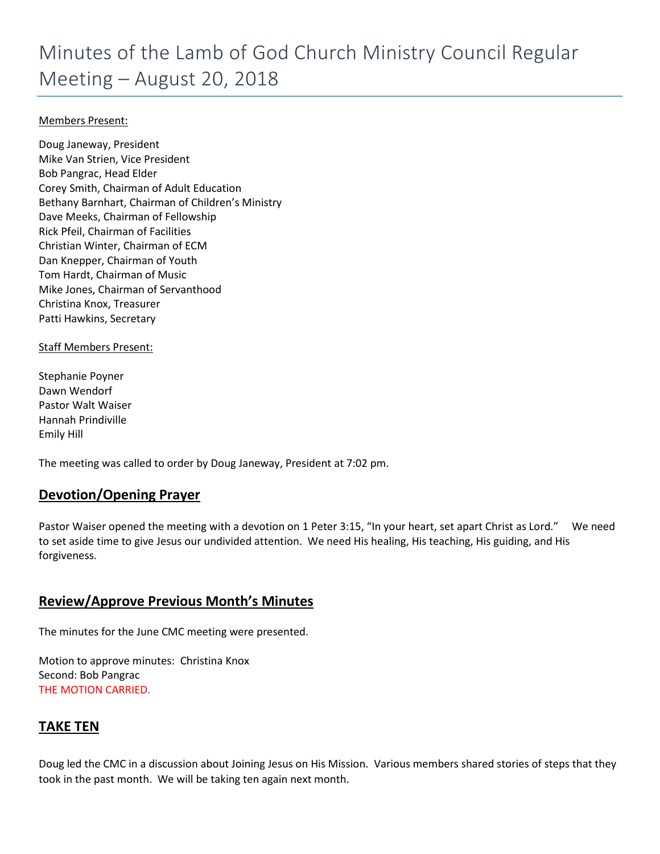### Members Present:

Doug Janeway, President Mike Van Strien, Vice President Bob Pangrac, Head Elder Corey Smith, Chairman of Adult Education Bethany Barnhart, Chairman of Children's Ministry Dave Meeks, Chairman of Fellowship Rick Pfeil, Chairman of Facilities Christian Winter, Chairman of ECM Dan Knepper, Chairman of Youth Tom Hardt, Chairman of Music Mike Jones, Chairman of Servanthood Christina Knox, Treasurer Patti Hawkins, Secretary

#### Staff Members Present:

Stephanie Poyner Dawn Wendorf Pastor Walt Waiser Hannah Prindiville Emily Hill

The meeting was called to order by Doug Janeway, President at 7:02 pm.

## **Devotion/Opening Prayer**

Pastor Waiser opened the meeting with a devotion on 1 Peter 3:15, "In your heart, set apart Christ as Lord." We need to set aside time to give Jesus our undivided attention. We need His healing, His teaching, His guiding, and His forgiveness.

## **Review/Approve Previous Month's Minutes**

The minutes for the June CMC meeting were presented.

Motion to approve minutes: Christina Knox Second: Bob Pangrac THE MOTION CARRIED.

## **TAKE TEN**

Doug led the CMC in a discussion about Joining Jesus on His Mission. Various members shared stories of steps that they took in the past month. We will be taking ten again next month.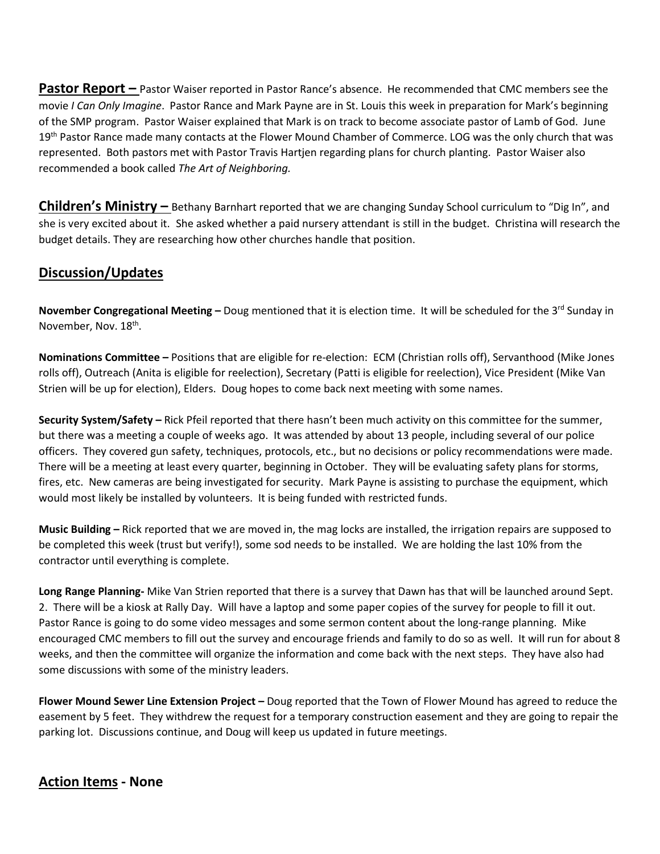**Pastor Report –** Pastor Waiser reported in Pastor Rance's absence. He recommended that CMC members see the movie *I Can Only Imagine*. Pastor Rance and Mark Payne are in St. Louis this week in preparation for Mark's beginning of the SMP program. Pastor Waiser explained that Mark is on track to become associate pastor of Lamb of God. June 19<sup>th</sup> Pastor Rance made many contacts at the Flower Mound Chamber of Commerce. LOG was the only church that was represented. Both pastors met with Pastor Travis Hartjen regarding plans for church planting. Pastor Waiser also recommended a book called *The Art of Neighboring.*

**Children's Ministry –** Bethany Barnhart reported that we are changing Sunday School curriculum to "Dig In", and she is very excited about it. She asked whether a paid nursery attendant is still in the budget. Christina will research the budget details. They are researching how other churches handle that position.

## **Discussion/Updates**

**November Congregational Meeting -** Doug mentioned that it is election time. It will be scheduled for the 3<sup>rd</sup> Sunday in November, Nov. 18<sup>th</sup>.

**Nominations Committee –** Positions that are eligible for re-election: ECM (Christian rolls off), Servanthood (Mike Jones rolls off), Outreach (Anita is eligible for reelection), Secretary (Patti is eligible for reelection), Vice President (Mike Van Strien will be up for election), Elders. Doug hopes to come back next meeting with some names.

**Security System/Safety –** Rick Pfeil reported that there hasn't been much activity on this committee for the summer, but there was a meeting a couple of weeks ago. It was attended by about 13 people, including several of our police officers. They covered gun safety, techniques, protocols, etc., but no decisions or policy recommendations were made. There will be a meeting at least every quarter, beginning in October. They will be evaluating safety plans for storms, fires, etc. New cameras are being investigated for security. Mark Payne is assisting to purchase the equipment, which would most likely be installed by volunteers. It is being funded with restricted funds.

**Music Building –** Rick reported that we are moved in, the mag locks are installed, the irrigation repairs are supposed to be completed this week (trust but verify!), some sod needs to be installed. We are holding the last 10% from the contractor until everything is complete.

**Long Range Planning-** Mike Van Strien reported that there is a survey that Dawn has that will be launched around Sept. 2. There will be a kiosk at Rally Day. Will have a laptop and some paper copies of the survey for people to fill it out. Pastor Rance is going to do some video messages and some sermon content about the long-range planning. Mike encouraged CMC members to fill out the survey and encourage friends and family to do so as well. It will run for about 8 weeks, and then the committee will organize the information and come back with the next steps. They have also had some discussions with some of the ministry leaders.

**Flower Mound Sewer Line Extension Project –** Doug reported that the Town of Flower Mound has agreed to reduce the easement by 5 feet. They withdrew the request for a temporary construction easement and they are going to repair the parking lot. Discussions continue, and Doug will keep us updated in future meetings.

## **Action Items - None**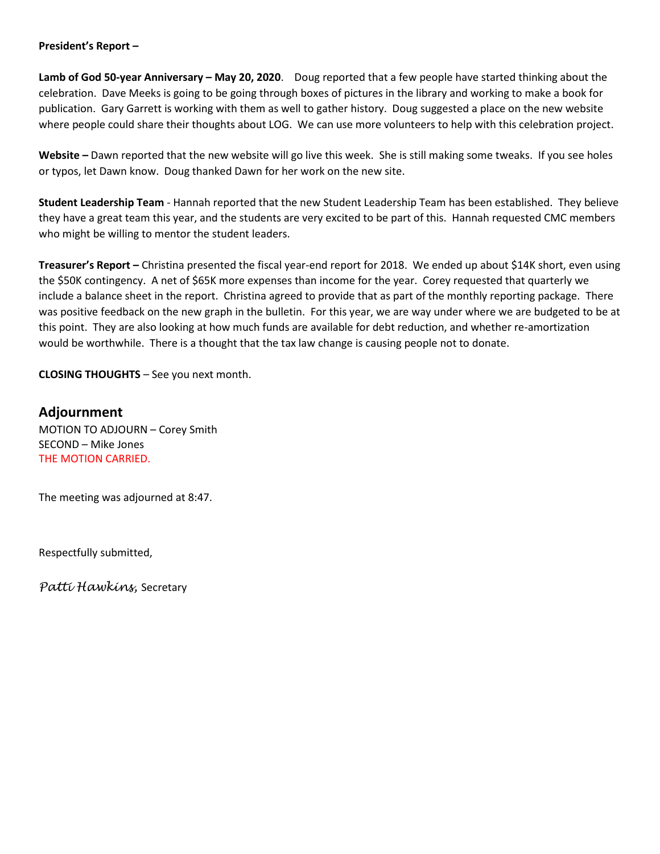#### **President's Report –**

**Lamb of God 50-year Anniversary – May 20, 2020**. Doug reported that a few people have started thinking about the celebration. Dave Meeks is going to be going through boxes of pictures in the library and working to make a book for publication. Gary Garrett is working with them as well to gather history. Doug suggested a place on the new website where people could share their thoughts about LOG. We can use more volunteers to help with this celebration project.

**Website –** Dawn reported that the new website will go live this week. She is still making some tweaks. If you see holes or typos, let Dawn know. Doug thanked Dawn for her work on the new site.

**Student Leadership Team** - Hannah reported that the new Student Leadership Team has been established. They believe they have a great team this year, and the students are very excited to be part of this. Hannah requested CMC members who might be willing to mentor the student leaders.

**Treasurer's Report –** Christina presented the fiscal year-end report for 2018. We ended up about \$14K short, even using the \$50K contingency. A net of \$65K more expenses than income for the year. Corey requested that quarterly we include a balance sheet in the report. Christina agreed to provide that as part of the monthly reporting package. There was positive feedback on the new graph in the bulletin. For this year, we are way under where we are budgeted to be at this point. They are also looking at how much funds are available for debt reduction, and whether re-amortization would be worthwhile. There is a thought that the tax law change is causing people not to donate.

**CLOSING THOUGHTS** – See you next month.

**Adjournment** MOTION TO ADJOURN – Corey Smith SECOND – Mike Jones THE MOTION CARRIED.

The meeting was adjourned at 8:47.

Respectfully submitted,

*Patti Hawkins,* Secretary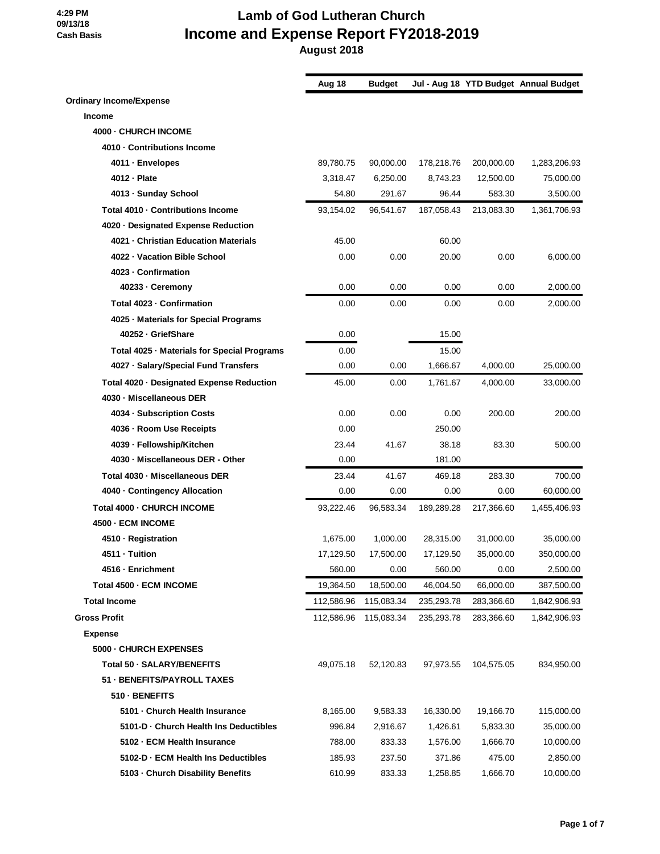|                                             | Aug 18     | <b>Budget</b> |            |            | Jul - Aug 18 YTD Budget Annual Budget |
|---------------------------------------------|------------|---------------|------------|------------|---------------------------------------|
| <b>Ordinary Income/Expense</b>              |            |               |            |            |                                       |
| <b>Income</b>                               |            |               |            |            |                                       |
| 4000 - CHURCH INCOME                        |            |               |            |            |                                       |
| 4010 Contributions Income                   |            |               |            |            |                                       |
| 4011 - Envelopes                            | 89,780.75  | 90,000.00     | 178,218.76 | 200,000.00 | 1,283,206.93                          |
| 4012 - Plate                                | 3,318.47   | 6,250.00      | 8,743.23   | 12,500.00  | 75,000.00                             |
| 4013 - Sunday School                        | 54.80      | 291.67        | 96.44      | 583.30     | 3,500.00                              |
| Total 4010 - Contributions Income           | 93,154.02  | 96,541.67     | 187,058.43 | 213,083.30 | 1,361,706.93                          |
| 4020 - Designated Expense Reduction         |            |               |            |            |                                       |
| 4021 - Christian Education Materials        | 45.00      |               | 60.00      |            |                                       |
| 4022 - Vacation Bible School                | 0.00       | 0.00          | 20.00      | 0.00       | 6,000.00                              |
| 4023 - Confirmation                         |            |               |            |            |                                       |
| 40233 - Ceremony                            | 0.00       | 0.00          | 0.00       | 0.00       | 2,000.00                              |
| Total 4023 - Confirmation                   | 0.00       | 0.00          | 0.00       | 0.00       | 2,000.00                              |
| 4025 · Materials for Special Programs       |            |               |            |            |                                       |
| 40252 - GriefShare                          | 0.00       |               | 15.00      |            |                                       |
| Total 4025 - Materials for Special Programs | 0.00       |               | 15.00      |            |                                       |
| 4027 · Salary/Special Fund Transfers        | 0.00       | 0.00          | 1,666.67   | 4,000.00   | 25,000.00                             |
| Total 4020 - Designated Expense Reduction   | 45.00      | 0.00          | 1,761.67   | 4,000.00   | 33,000.00                             |
| 4030 - Miscellaneous DER                    |            |               |            |            |                                       |
| 4034 - Subscription Costs                   | 0.00       | 0.00          | 0.00       | 200.00     | 200.00                                |
| 4036 - Room Use Receipts                    | 0.00       |               | 250.00     |            |                                       |
| 4039 - Fellowship/Kitchen                   | 23.44      | 41.67         | 38.18      | 83.30      | 500.00                                |
| 4030 - Miscellaneous DER - Other            | 0.00       |               | 181.00     |            |                                       |
| Total 4030 - Miscellaneous DER              | 23.44      | 41.67         | 469.18     | 283.30     | 700.00                                |
| 4040 Contingency Allocation                 | 0.00       | 0.00          | 0.00       | 0.00       | 60,000.00                             |
| Total 4000 - CHURCH INCOME                  | 93,222.46  | 96,583.34     | 189,289.28 | 217,366.60 | 1,455,406.93                          |
| 4500 - ECM INCOME                           |            |               |            |            |                                       |
| 4510 - Registration                         | 1,675.00   | 1,000.00      | 28,315.00  | 31,000.00  | 35,000.00                             |
| 4511 - Tuition                              | 17,129.50  | 17,500.00     | 17,129.50  | 35,000.00  | 350,000.00                            |
| 4516 - Enrichment                           | 560.00     | 0.00          | 560.00     | 0.00       | 2,500.00                              |
| Total 4500 - ECM INCOME                     | 19,364.50  | 18,500.00     | 46,004.50  | 66,000.00  | 387,500.00                            |
| <b>Total Income</b>                         | 112,586.96 | 115,083.34    | 235,293.78 | 283,366.60 | 1,842,906.93                          |
| <b>Gross Profit</b>                         | 112,586.96 | 115,083.34    | 235,293.78 | 283,366.60 | 1,842,906.93                          |
| <b>Expense</b>                              |            |               |            |            |                                       |
| 5000 - CHURCH EXPENSES                      |            |               |            |            |                                       |
| Total 50 - SALARY/BENEFITS                  | 49,075.18  | 52,120.83     | 97,973.55  | 104,575.05 | 834,950.00                            |
| 51 - BENEFITS/PAYROLL TAXES                 |            |               |            |            |                                       |
| 510 - BENEFITS                              |            |               |            |            |                                       |
| 5101 - Church Health Insurance              | 8,165.00   | 9,583.33      | 16,330.00  | 19,166.70  | 115,000.00                            |
| 5101-D - Church Health Ins Deductibles      | 996.84     | 2,916.67      | 1,426.61   | 5,833.30   | 35,000.00                             |
| 5102 - ECM Health Insurance                 | 788.00     | 833.33        | 1,576.00   | 1,666.70   | 10,000.00                             |
| 5102-D - ECM Health Ins Deductibles         | 185.93     | 237.50        | 371.86     | 475.00     | 2,850.00                              |
| 5103 - Church Disability Benefits           | 610.99     | 833.33        | 1,258.85   | 1,666.70   | 10,000.00                             |
|                                             |            |               |            |            |                                       |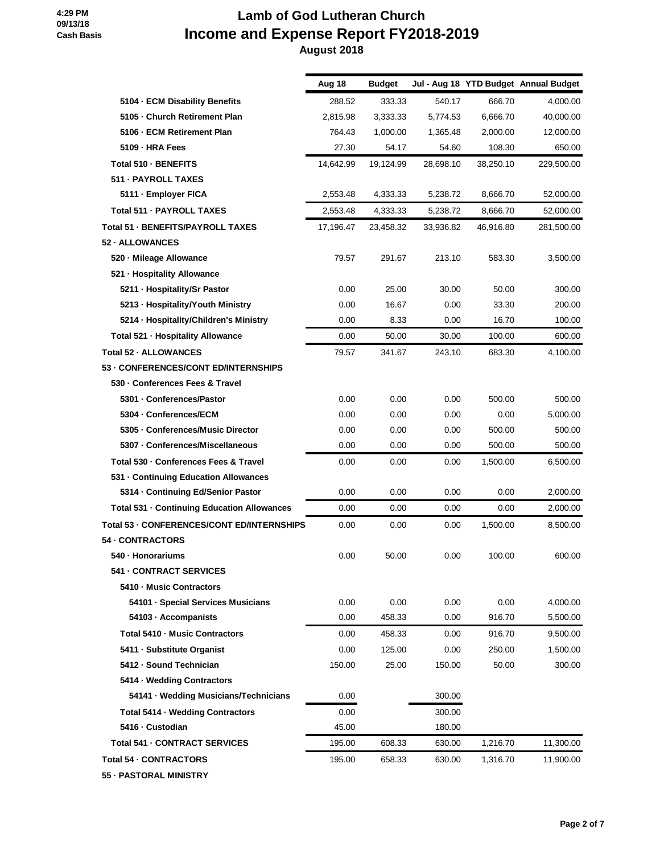|                                             | Aug 18    | <b>Budget</b> |           |           | Jul - Aug 18 YTD Budget Annual Budget |
|---------------------------------------------|-----------|---------------|-----------|-----------|---------------------------------------|
| 5104 - ECM Disability Benefits              | 288.52    | 333.33        | 540.17    | 666.70    | 4,000.00                              |
| 5105 - Church Retirement Plan               | 2,815.98  | 3,333.33      | 5,774.53  | 6,666.70  | 40,000.00                             |
| 5106 - ECM Retirement Plan                  | 764.43    | 1,000.00      | 1,365.48  | 2,000.00  | 12,000.00                             |
| 5109 - HRA Fees                             | 27.30     | 54.17         | 54.60     | 108.30    | 650.00                                |
| Total 510 - BENEFITS                        | 14,642.99 | 19,124.99     | 28,698.10 | 38,250.10 | 229,500.00                            |
| 511 - PAYROLL TAXES                         |           |               |           |           |                                       |
| 5111 - Employer FICA                        | 2,553.48  | 4,333.33      | 5,238.72  | 8,666.70  | 52,000.00                             |
| Total 511 - PAYROLL TAXES                   | 2,553.48  | 4,333.33      | 5,238.72  | 8,666.70  | 52,000.00                             |
| Total 51 - BENEFITS/PAYROLL TAXES           | 17,196.47 | 23,458.32     | 33,936.82 | 46,916.80 | 281,500.00                            |
| 52 - ALLOWANCES                             |           |               |           |           |                                       |
| 520 - Mileage Allowance                     | 79.57     | 291.67        | 213.10    | 583.30    | 3,500.00                              |
| 521 - Hospitality Allowance                 |           |               |           |           |                                       |
| 5211 - Hospitality/Sr Pastor                | 0.00      | 25.00         | 30.00     | 50.00     | 300.00                                |
| 5213 - Hospitality/Youth Ministry           | 0.00      | 16.67         | 0.00      | 33.30     | 200.00                                |
| 5214 · Hospitality/Children's Ministry      | 0.00      | 8.33          | 0.00      | 16.70     | 100.00                                |
| Total 521 - Hospitality Allowance           | 0.00      | 50.00         | 30.00     | 100.00    | 600.00                                |
| Total 52 - ALLOWANCES                       | 79.57     | 341.67        | 243.10    | 683.30    | 4,100.00                              |
| 53 - CONFERENCES/CONT ED/INTERNSHIPS        |           |               |           |           |                                       |
| 530 - Conferences Fees & Travel             |           |               |           |           |                                       |
| 5301 - Conferences/Pastor                   | 0.00      | 0.00          | 0.00      | 500.00    | 500.00                                |
| 5304 - Conferences/ECM                      | 0.00      | 0.00          | 0.00      | 0.00      | 5,000.00                              |
| 5305 - Conferences/Music Director           | 0.00      | 0.00          | 0.00      | 500.00    | 500.00                                |
| 5307 - Conferences/Miscellaneous            | 0.00      | 0.00          | 0.00      | 500.00    | 500.00                                |
| Total 530 - Conferences Fees & Travel       | 0.00      | 0.00          | 0.00      | 1,500.00  | 6,500.00                              |
| 531 - Continuing Education Allowances       |           |               |           |           |                                       |
| 5314 - Continuing Ed/Senior Pastor          | 0.00      | 0.00          | 0.00      | 0.00      | 2,000.00                              |
| Total 531 - Continuing Education Allowances | 0.00      | 0.00          | 0.00      | 0.00      | 2,000.00                              |
| Total 53 - CONFERENCES/CONT ED/INTERNSHIPS  | 0.00      | 0.00          | 0.00      | 1,500.00  | 8,500.00                              |
| 54 CONTRACTORS                              |           |               |           |           |                                       |
| 540 - Honorariums                           | 0.00      | 50.00         | 0.00      | 100.00    | 600.00                                |
| 541 - CONTRACT SERVICES                     |           |               |           |           |                                       |
| 5410 - Music Contractors                    |           |               |           |           |                                       |
| 54101 · Special Services Musicians          | 0.00      | 0.00          | 0.00      | 0.00      | 4,000.00                              |
| 54103 · Accompanists                        | 0.00      | 458.33        | 0.00      | 916.70    | 5,500.00                              |
| Total 5410 - Music Contractors              | 0.00      | 458.33        | 0.00      | 916.70    | 9,500.00                              |
| 5411 - Substitute Organist                  | 0.00      | 125.00        | 0.00      | 250.00    | 1,500.00                              |
| 5412 - Sound Technician                     | 150.00    | 25.00         | 150.00    | 50.00     | 300.00                                |
| 5414 · Wedding Contractors                  |           |               |           |           |                                       |
| 54141 · Wedding Musicians/Technicians       | 0.00      |               | 300.00    |           |                                       |
| Total 5414 - Wedding Contractors            | 0.00      |               | 300.00    |           |                                       |
| 5416 - Custodian                            | 45.00     |               | 180.00    |           |                                       |
| <b>Total 541 - CONTRACT SERVICES</b>        | 195.00    | 608.33        | 630.00    | 1,216.70  | 11,300.00                             |
| <b>Total 54 - CONTRACTORS</b>               | 195.00    | 658.33        | 630.00    | 1,316.70  | 11,900.00                             |
| 55 - PASTORAL MINISTRY                      |           |               |           |           |                                       |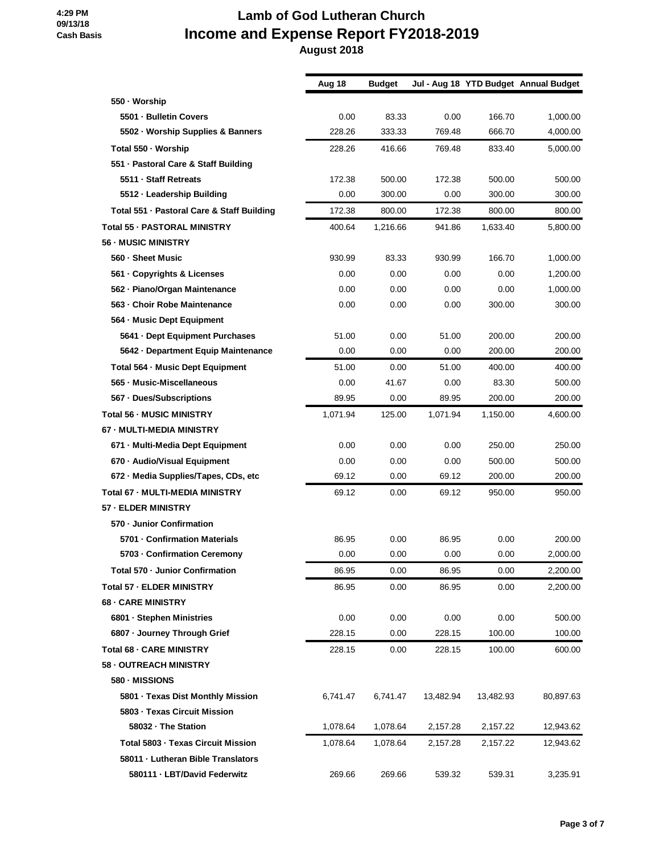|                                            | Aug 18   | <b>Budget</b> |           |           | Jul - Aug 18 YTD Budget Annual Budget |
|--------------------------------------------|----------|---------------|-----------|-----------|---------------------------------------|
| 550 · Worship                              |          |               |           |           |                                       |
| 5501 - Bulletin Covers                     | 0.00     | 83.33         | 0.00      | 166.70    | 1,000.00                              |
| 5502 · Worship Supplies & Banners          | 228.26   | 333.33        | 769.48    | 666.70    | 4,000.00                              |
| Total 550 - Worship                        | 228.26   | 416.66        | 769.48    | 833.40    | 5,000.00                              |
| 551 - Pastoral Care & Staff Building       |          |               |           |           |                                       |
| 5511 - Staff Retreats                      | 172.38   | 500.00        | 172.38    | 500.00    | 500.00                                |
| 5512 - Leadership Building                 | 0.00     | 300.00        | 0.00      | 300.00    | 300.00                                |
| Total 551 - Pastoral Care & Staff Building | 172.38   | 800.00        | 172.38    | 800.00    | 800.00                                |
| <b>Total 55 - PASTORAL MINISTRY</b>        | 400.64   | 1,216.66      | 941.86    | 1,633.40  | 5,800.00                              |
| <b>56 - MUSIC MINISTRY</b>                 |          |               |           |           |                                       |
| 560 - Sheet Music                          | 930.99   | 83.33         | 930.99    | 166.70    | 1,000.00                              |
| 561 - Copyrights & Licenses                | 0.00     | 0.00          | 0.00      | 0.00      | 1,200.00                              |
| 562 - Piano/Organ Maintenance              | 0.00     | 0.00          | 0.00      | 0.00      | 1,000.00                              |
| 563 - Choir Robe Maintenance               | 0.00     | 0.00          | 0.00      | 300.00    | 300.00                                |
| 564 - Music Dept Equipment                 |          |               |           |           |                                       |
| 5641 · Dept Equipment Purchases            | 51.00    | 0.00          | 51.00     | 200.00    | 200.00                                |
| 5642 - Department Equip Maintenance        | 0.00     | 0.00          | 0.00      | 200.00    | 200.00                                |
| Total 564 - Music Dept Equipment           | 51.00    | 0.00          | 51.00     | 400.00    | 400.00                                |
| 565 - Music-Miscellaneous                  | 0.00     | 41.67         | 0.00      | 83.30     | 500.00                                |
| 567 - Dues/Subscriptions                   | 89.95    | 0.00          | 89.95     | 200.00    | 200.00                                |
| <b>Total 56 - MUSIC MINISTRY</b>           | 1,071.94 | 125.00        | 1,071.94  | 1,150.00  | 4,600.00                              |
| 67 - MULTI-MEDIA MINISTRY                  |          |               |           |           |                                       |
| 671 - Multi-Media Dept Equipment           | 0.00     | 0.00          | 0.00      | 250.00    | 250.00                                |
| 670 - Audio/Visual Equipment               | 0.00     | 0.00          | 0.00      | 500.00    | 500.00                                |
| 672 - Media Supplies/Tapes, CDs, etc       | 69.12    | 0.00          | 69.12     | 200.00    | 200.00                                |
| <b>Total 67 - MULTI-MEDIA MINISTRY</b>     | 69.12    | 0.00          | 69.12     | 950.00    | 950.00                                |
| 57 - ELDER MINISTRY                        |          |               |           |           |                                       |
| 570 - Junior Confirmation                  |          |               |           |           |                                       |
| 5701 - Confirmation Materials              | 86.95    | 0.00          | 86.95     | 0.00      | 200.00                                |
| 5703 - Confirmation Ceremony               | 0.00     | 0.00          | 0.00      | 0.00      | 2,000.00                              |
| Total 570 - Junior Confirmation            | 86.95    | 0.00          | 86.95     | 0.00      | 2,200.00                              |
| <b>Total 57 - ELDER MINISTRY</b>           | 86.95    | 0.00          | 86.95     | 0.00      | 2,200.00                              |
| <b>68 - CARE MINISTRY</b>                  |          |               |           |           |                                       |
| 6801 - Stephen Ministries                  | 0.00     | 0.00          | 0.00      | 0.00      | 500.00                                |
| 6807 · Journey Through Grief               | 228.15   | 0.00          | 228.15    | 100.00    | 100.00                                |
| <b>Total 68 - CARE MINISTRY</b>            | 228.15   | 0.00          | 228.15    | 100.00    | 600.00                                |
| 58 - OUTREACH MINISTRY                     |          |               |           |           |                                       |
| 580 - MISSIONS                             |          |               |           |           |                                       |
| 5801 · Texas Dist Monthly Mission          | 6,741.47 | 6,741.47      | 13,482.94 | 13,482.93 | 80,897.63                             |
| 5803 - Texas Circuit Mission               |          |               |           |           |                                       |
| 58032 - The Station                        | 1,078.64 | 1,078.64      | 2,157.28  | 2,157.22  | 12,943.62                             |
| <b>Total 5803 - Texas Circuit Mission</b>  | 1,078.64 | 1,078.64      | 2,157.28  | 2,157.22  | 12,943.62                             |
| 58011 - Lutheran Bible Translators         |          |               |           |           |                                       |
| 580111 - LBT/David Federwitz               | 269.66   | 269.66        | 539.32    | 539.31    | 3,235.91                              |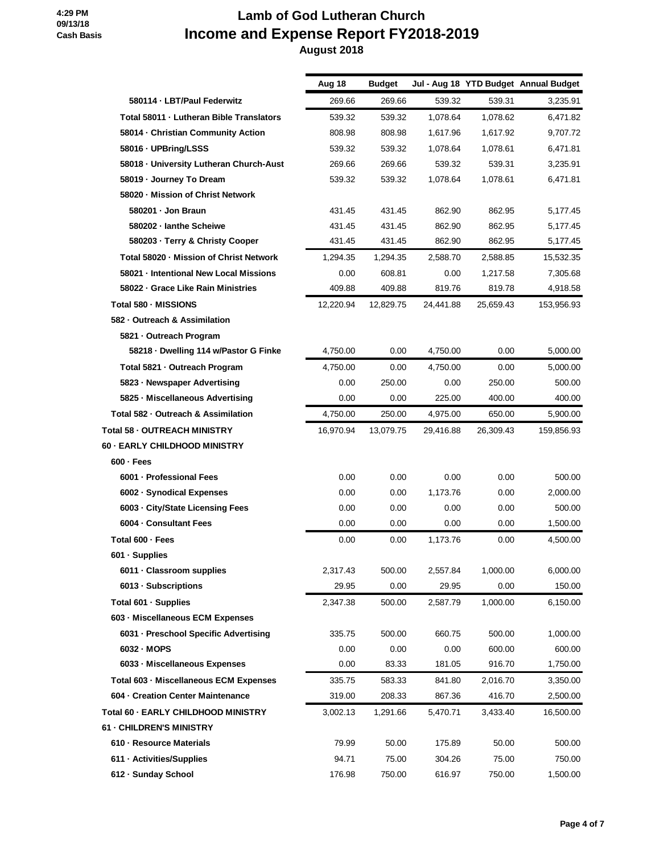|                                          | Aug 18    | <b>Budget</b> |           |           | Jul - Aug 18 YTD Budget Annual Budget |
|------------------------------------------|-----------|---------------|-----------|-----------|---------------------------------------|
| 580114 · LBT/Paul Federwitz              | 269.66    | 269.66        | 539.32    | 539.31    | 3,235.91                              |
| Total 58011 - Lutheran Bible Translators | 539.32    | 539.32        | 1,078.64  | 1,078.62  | 6,471.82                              |
| 58014 - Christian Community Action       | 808.98    | 808.98        | 1,617.96  | 1,617.92  | 9,707.72                              |
| 58016 - UPBring/LSSS                     | 539.32    | 539.32        | 1,078.64  | 1,078.61  | 6,471.81                              |
| 58018 - University Lutheran Church-Aust  | 269.66    | 269.66        | 539.32    | 539.31    | 3,235.91                              |
| 58019 - Journey To Dream                 | 539.32    | 539.32        | 1,078.64  | 1,078.61  | 6,471.81                              |
| 58020 - Mission of Christ Network        |           |               |           |           |                                       |
| 580201 - Jon Braun                       | 431.45    | 431.45        | 862.90    | 862.95    | 5,177.45                              |
| 580202 - lanthe Scheiwe                  | 431.45    | 431.45        | 862.90    | 862.95    | 5,177.45                              |
| 580203 · Terry & Christy Cooper          | 431.45    | 431.45        | 862.90    | 862.95    | 5,177.45                              |
| Total 58020 - Mission of Christ Network  | 1,294.35  | 1,294.35      | 2,588.70  | 2,588.85  | 15,532.35                             |
| 58021 - Intentional New Local Missions   | 0.00      | 608.81        | 0.00      | 1,217.58  | 7,305.68                              |
| 58022 Grace Like Rain Ministries         | 409.88    | 409.88        | 819.76    | 819.78    | 4,918.58                              |
| Total 580 - MISSIONS                     | 12,220.94 | 12,829.75     | 24,441.88 | 25,659.43 | 153,956.93                            |
| 582 - Outreach & Assimilation            |           |               |           |           |                                       |
| 5821 - Outreach Program                  |           |               |           |           |                                       |
| 58218 · Dwelling 114 w/Pastor G Finke    | 4,750.00  | 0.00          | 4,750.00  | 0.00      | 5,000.00                              |
| Total 5821 - Outreach Program            | 4,750.00  | 0.00          | 4,750.00  | 0.00      | 5,000.00                              |
| 5823 - Newspaper Advertising             | 0.00      | 250.00        | 0.00      | 250.00    | 500.00                                |
| 5825 · Miscellaneous Advertising         | 0.00      | 0.00          | 225.00    | 400.00    | 400.00                                |
| Total 582 - Outreach & Assimilation      | 4,750.00  | 250.00        | 4,975.00  | 650.00    | 5,900.00                              |
| Total 58 - OUTREACH MINISTRY             | 16,970.94 | 13,079.75     | 29,416.88 | 26,309.43 | 159,856.93                            |
| 60 - EARLY CHILDHOOD MINISTRY            |           |               |           |           |                                       |
| $600 - Fees$                             |           |               |           |           |                                       |
| 6001 - Professional Fees                 | 0.00      | 0.00          | 0.00      | 0.00      | 500.00                                |
| 6002 - Synodical Expenses                | 0.00      | 0.00          | 1,173.76  | 0.00      | 2,000.00                              |
| 6003 - City/State Licensing Fees         | 0.00      | 0.00          | 0.00      | 0.00      | 500.00                                |
| 6004 - Consultant Fees                   | 0.00      | 0.00          | 0.00      | 0.00      | 1,500.00                              |
| Total 600 - Fees                         | 0.00      | 0.00          | 1,173.76  | 0.00      | 4.500.00                              |
| 601 · Supplies                           |           |               |           |           |                                       |
| 6011 - Classroom supplies                | 2,317.43  | 500.00        | 2,557.84  | 1,000.00  | 6,000.00                              |
| 6013 - Subscriptions                     | 29.95     | 0.00          | 29.95     | 0.00      | 150.00                                |
| Total 601 - Supplies                     | 2,347.38  | 500.00        | 2,587.79  | 1,000.00  | 6,150.00                              |
| 603 - Miscellaneous ECM Expenses         |           |               |           |           |                                       |
| 6031 - Preschool Specific Advertising    | 335.75    | 500.00        | 660.75    | 500.00    | 1,000.00                              |
| 6032 - MOPS                              | 0.00      | 0.00          | 0.00      | 600.00    | 600.00                                |
| 6033 - Miscellaneous Expenses            | 0.00      | 83.33         | 181.05    | 916.70    | 1,750.00                              |
| Total 603 - Miscellaneous ECM Expenses   | 335.75    | 583.33        | 841.80    | 2,016.70  | 3,350.00                              |
| 604 - Creation Center Maintenance        | 319.00    | 208.33        | 867.36    | 416.70    | 2,500.00                              |
| Total 60 - EARLY CHILDHOOD MINISTRY      | 3,002.13  | 1,291.66      | 5,470.71  | 3,433.40  | 16,500.00                             |
| 61 - CHILDREN'S MINISTRY                 |           |               |           |           |                                       |
| 610 - Resource Materials                 | 79.99     | 50.00         | 175.89    | 50.00     | 500.00                                |
| 611 - Activities/Supplies                | 94.71     | 75.00         | 304.26    | 75.00     | 750.00                                |
| 612 - Sunday School                      | 176.98    | 750.00        | 616.97    | 750.00    | 1,500.00                              |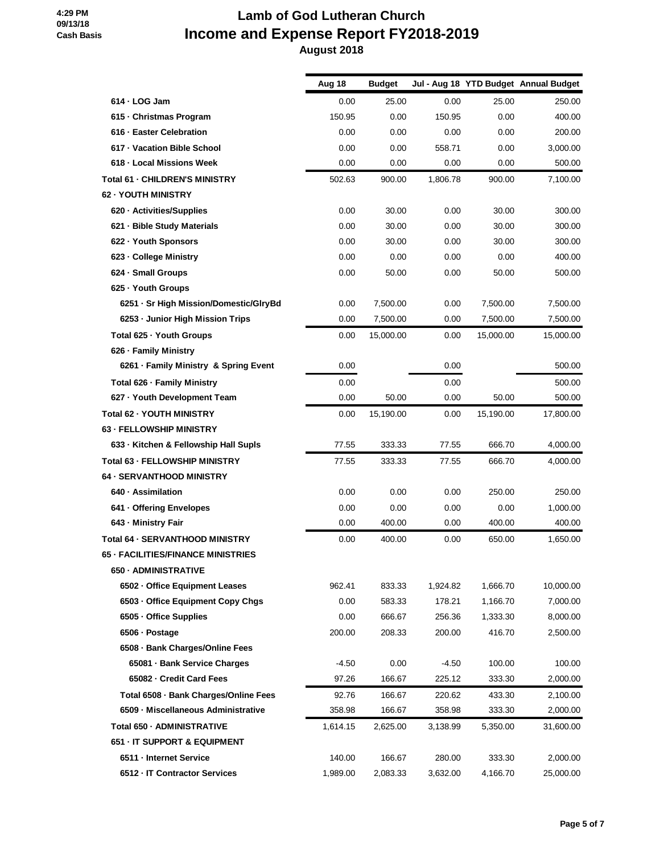|                                        | Aug 18   | <b>Budget</b> |          |           | Jul - Aug 18 YTD Budget Annual Budget |
|----------------------------------------|----------|---------------|----------|-----------|---------------------------------------|
| $614 \cdot$ LOG Jam                    | 0.00     | 25.00         | 0.00     | 25.00     | 250.00                                |
| 615 - Christmas Program                | 150.95   | 0.00          | 150.95   | 0.00      | 400.00                                |
| 616 - Easter Celebration               | 0.00     | 0.00          | 0.00     | 0.00      | 200.00                                |
| 617 - Vacation Bible School            | 0.00     | 0.00          | 558.71   | 0.00      | 3,000.00                              |
| 618 - Local Missions Week              | 0.00     | 0.00          | 0.00     | 0.00      | 500.00                                |
| <b>Total 61 - CHILDREN'S MINISTRY</b>  | 502.63   | 900.00        | 1,806.78 | 900.00    | 7,100.00                              |
| 62 - YOUTH MINISTRY                    |          |               |          |           |                                       |
| 620 - Activities/Supplies              | 0.00     | 30.00         | 0.00     | 30.00     | 300.00                                |
| 621 - Bible Study Materials            | 0.00     | 30.00         | 0.00     | 30.00     | 300.00                                |
| 622 - Youth Sponsors                   | 0.00     | 30.00         | 0.00     | 30.00     | 300.00                                |
| 623 - College Ministry                 | 0.00     | 0.00          | 0.00     | 0.00      | 400.00                                |
| 624 · Small Groups                     | 0.00     | 50.00         | 0.00     | 50.00     | 500.00                                |
| 625 - Youth Groups                     |          |               |          |           |                                       |
| 6251 · Sr High Mission/Domestic/GlryBd | 0.00     | 7,500.00      | 0.00     | 7,500.00  | 7,500.00                              |
| 6253 - Junior High Mission Trips       | 0.00     | 7,500.00      | 0.00     | 7,500.00  | 7,500.00                              |
| Total 625 - Youth Groups               | 0.00     | 15.000.00     | 0.00     | 15,000.00 | 15,000.00                             |
| 626 - Family Ministry                  |          |               |          |           |                                       |
| 6261 · Family Ministry & Spring Event  | 0.00     |               | 0.00     |           | 500.00                                |
| Total 626 - Family Ministry            | 0.00     |               | 0.00     |           | 500.00                                |
| 627 · Youth Development Team           | 0.00     | 50.00         | 0.00     | 50.00     | 500.00                                |
| Total 62 - YOUTH MINISTRY              | 0.00     | 15,190.00     | 0.00     | 15,190.00 | 17,800.00                             |
| <b>63 - FELLOWSHIP MINISTRY</b>        |          |               |          |           |                                       |
| 633 - Kitchen & Fellowship Hall Supls  | 77.55    | 333.33        | 77.55    | 666.70    | 4,000.00                              |
| <b>Total 63 - FELLOWSHIP MINISTRY</b>  | 77.55    | 333.33        | 77.55    | 666.70    | 4,000.00                              |
| <b>64 - SERVANTHOOD MINISTRY</b>       |          |               |          |           |                                       |
| 640 · Assimilation                     | 0.00     | 0.00          | 0.00     | 250.00    | 250.00                                |
| 641 - Offering Envelopes               | 0.00     | 0.00          | 0.00     | 0.00      | 1,000.00                              |
| 643 - Ministry Fair                    | 0.00     | 400.00        | 0.00     | 400.00    | 400.00                                |
| Total 64 - SERVANTHOOD MINISTRY        | 0.00     | 400.00        | 0.00     | 650.00    | 1,650.00                              |
| 65 - FACILITIES/FINANCE MINISTRIES     |          |               |          |           |                                       |
| 650 - ADMINISTRATIVE                   |          |               |          |           |                                       |
| 6502 - Office Equipment Leases         | 962.41   | 833.33        | 1,924.82 | 1,666.70  | 10,000.00                             |
| 6503 - Office Equipment Copy Chgs      | 0.00     | 583.33        | 178.21   | 1,166.70  | 7,000.00                              |
| 6505 - Office Supplies                 | 0.00     | 666.67        | 256.36   | 1,333.30  | 8,000.00                              |
| 6506 · Postage                         | 200.00   | 208.33        | 200.00   | 416.70    | 2,500.00                              |
| 6508 - Bank Charges/Online Fees        |          |               |          |           |                                       |
| 65081 - Bank Service Charges           | $-4.50$  | 0.00          | $-4.50$  | 100.00    | 100.00                                |
| 65082 - Credit Card Fees               | 97.26    | 166.67        | 225.12   | 333.30    | 2,000.00                              |
| Total 6508 - Bank Charges/Online Fees  | 92.76    | 166.67        | 220.62   | 433.30    | 2,100.00                              |
| 6509 - Miscellaneous Administrative    | 358.98   | 166.67        | 358.98   | 333.30    | 2,000.00                              |
| Total 650 - ADMINISTRATIVE             | 1,614.15 | 2,625.00      | 3,138.99 | 5,350.00  | 31,600.00                             |
| 651 - IT SUPPORT & EQUIPMENT           |          |               |          |           |                                       |
| 6511 - Internet Service                | 140.00   | 166.67        | 280.00   | 333.30    | 2,000.00                              |
| 6512 - IT Contractor Services          | 1,989.00 | 2,083.33      | 3,632.00 | 4,166.70  | 25,000.00                             |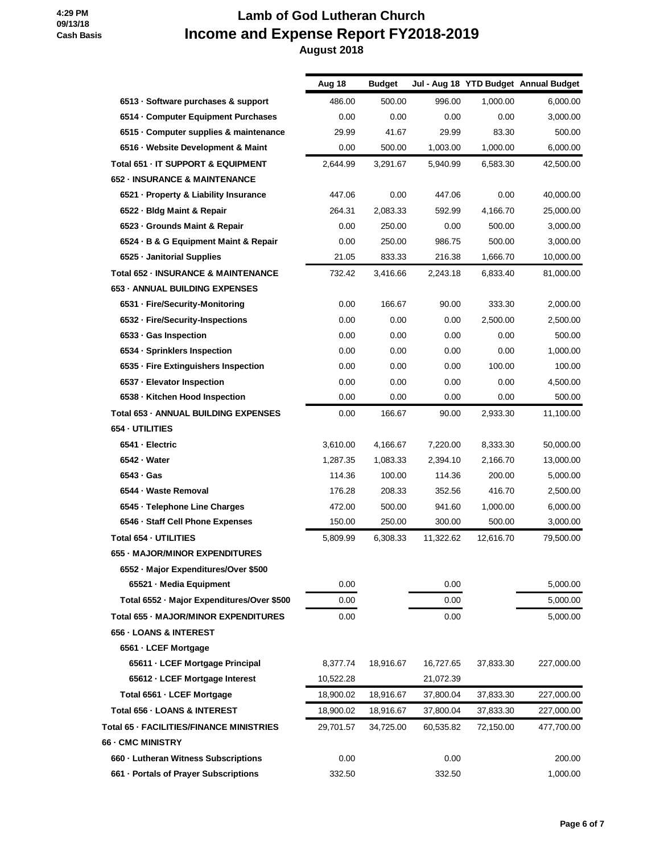|                                                | Aug 18    | <b>Budget</b> |           |           | Jul - Aug 18 YTD Budget Annual Budget |
|------------------------------------------------|-----------|---------------|-----------|-----------|---------------------------------------|
| 6513 - Software purchases & support            | 486.00    | 500.00        | 996.00    | 1,000.00  | 6.000.00                              |
| 6514 Computer Equipment Purchases              | 0.00      | 0.00          | 0.00      | 0.00      | 3,000.00                              |
| 6515 Computer supplies & maintenance           | 29.99     | 41.67         | 29.99     | 83.30     | 500.00                                |
| 6516 - Website Development & Maint             | 0.00      | 500.00        | 1,003.00  | 1,000.00  | 6,000.00                              |
| Total 651 - IT SUPPORT & EQUIPMENT             | 2,644.99  | 3,291.67      | 5,940.99  | 6,583.30  | 42,500.00                             |
| <b>652 - INSURANCE &amp; MAINTENANCE</b>       |           |               |           |           |                                       |
| 6521 - Property & Liability Insurance          | 447.06    | 0.00          | 447.06    | 0.00      | 40.000.00                             |
| 6522 - Bldg Maint & Repair                     | 264.31    | 2,083.33      | 592.99    | 4,166.70  | 25,000.00                             |
| 6523 - Grounds Maint & Repair                  | 0.00      | 250.00        | 0.00      | 500.00    | 3,000.00                              |
| 6524 · B & G Equipment Maint & Repair          | 0.00      | 250.00        | 986.75    | 500.00    | 3,000.00                              |
| 6525 - Janitorial Supplies                     | 21.05     | 833.33        | 216.38    | 1,666.70  | 10,000.00                             |
| <b>Total 652 - INSURANCE &amp; MAINTENANCE</b> | 732.42    | 3,416.66      | 2,243.18  | 6,833.40  | 81,000.00                             |
| <b>653 - ANNUAL BUILDING EXPENSES</b>          |           |               |           |           |                                       |
| 6531 - Fire/Security-Monitoring                | 0.00      | 166.67        | 90.00     | 333.30    | 2,000.00                              |
| 6532 · Fire/Security-Inspections               | 0.00      | 0.00          | 0.00      | 2.500.00  | 2,500.00                              |
| 6533 - Gas Inspection                          | 0.00      | 0.00          | 0.00      | 0.00      | 500.00                                |
| 6534 - Sprinklers Inspection                   | 0.00      | 0.00          | 0.00      | 0.00      | 1,000.00                              |
| 6535 - Fire Extinguishers Inspection           | 0.00      | 0.00          | 0.00      | 100.00    | 100.00                                |
| 6537 - Elevator Inspection                     | 0.00      | 0.00          | 0.00      | 0.00      | 4,500.00                              |
| 6538 - Kitchen Hood Inspection                 | 0.00      | 0.00          | 0.00      | 0.00      | 500.00                                |
| <b>Total 653 - ANNUAL BUILDING EXPENSES</b>    | 0.00      | 166.67        | 90.00     | 2,933.30  | 11,100.00                             |
| 654 - UTILITIES                                |           |               |           |           |                                       |
| 6541 - Electric                                | 3,610.00  | 4.166.67      | 7,220.00  | 8,333.30  | 50,000.00                             |
| 6542 - Water                                   | 1,287.35  | 1,083.33      | 2,394.10  | 2,166.70  | 13,000.00                             |
| 6543 · Gas                                     | 114.36    | 100.00        | 114.36    | 200.00    | 5,000.00                              |
| 6544 - Waste Removal                           | 176.28    | 208.33        | 352.56    | 416.70    | 2,500.00                              |
| 6545 · Telephone Line Charges                  | 472.00    | 500.00        | 941.60    | 1,000.00  | 6,000.00                              |
| 6546 · Staff Cell Phone Expenses               | 150.00    | 250.00        | 300.00    | 500.00    | 3,000.00                              |
| Total 654 - UTILITIES                          | 5,809.99  | 6.308.33      | 11,322.62 | 12,616.70 | 79,500.00                             |
| 655 - MAJOR/MINOR EXPENDITURES                 |           |               |           |           |                                       |
| 6552 - Major Expenditures/Over \$500           |           |               |           |           |                                       |
| 65521 - Media Equipment                        | 0.00      |               | 0.00      |           | 5,000.00                              |
| Total 6552 - Major Expenditures/Over \$500     | 0.00      |               | 0.00      |           | 5,000.00                              |
| Total 655 - MAJOR/MINOR EXPENDITURES           | 0.00      |               | 0.00      |           | 5,000.00                              |
| <b>656 - LOANS &amp; INTEREST</b>              |           |               |           |           |                                       |
| 6561 - LCEF Mortgage                           |           |               |           |           |                                       |
| 65611 - LCEF Mortgage Principal                | 8,377.74  | 18,916.67     | 16,727.65 | 37,833.30 | 227,000.00                            |
| 65612 - LCEF Mortgage Interest                 | 10,522.28 |               | 21,072.39 |           |                                       |
| Total 6561 - LCEF Mortgage                     | 18,900.02 | 18,916.67     | 37,800.04 | 37,833.30 | 227,000.00                            |
| Total 656 - LOANS & INTEREST                   | 18,900.02 | 18,916.67     | 37,800.04 | 37,833.30 | 227,000.00                            |
| Total 65 - FACILITIES/FINANCE MINISTRIES       | 29,701.57 | 34,725.00     | 60,535.82 | 72,150.00 | 477,700.00                            |
| 66 - CMC MINISTRY                              |           |               |           |           |                                       |
| 660 - Lutheran Witness Subscriptions           | 0.00      |               | 0.00      |           | 200.00                                |
| 661 · Portals of Prayer Subscriptions          | 332.50    |               | 332.50    |           | 1,000.00                              |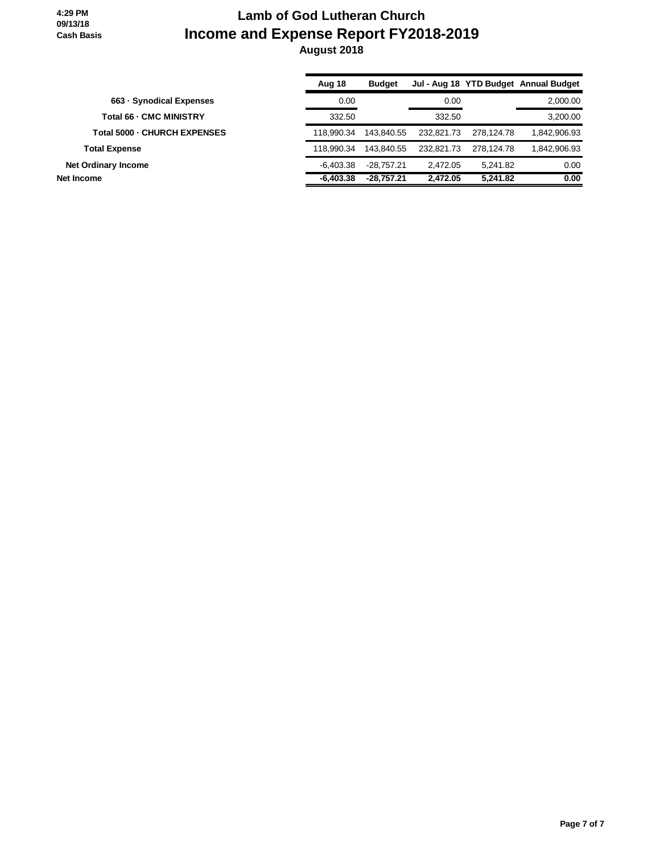|                                | Aug 18      | <b>Budget</b> |            |            | Jul - Aug 18 YTD Budget Annual Budget |
|--------------------------------|-------------|---------------|------------|------------|---------------------------------------|
| 663 - Synodical Expenses       | 0.00        |               | 0.00       |            | 2,000.00                              |
| <b>Total 66 - CMC MINISTRY</b> | 332.50      |               | 332.50     |            | 3.200.00                              |
| Total 5000 - CHURCH EXPENSES   | 118.990.34  | 143.840.55    | 232.821.73 | 278.124.78 | 1.842.906.93                          |
| <b>Total Expense</b>           | 118.990.34  | 143.840.55    | 232.821.73 | 278.124.78 | 1,842,906.93                          |
| <b>Net Ordinary Income</b>     | $-6.403.38$ | $-28.757.21$  | 2.472.05   | 5.241.82   | 0.00                                  |
| Net Income                     | $-6.403.38$ | $-28.757.21$  | 2.472.05   | 5.241.82   | 0.00                                  |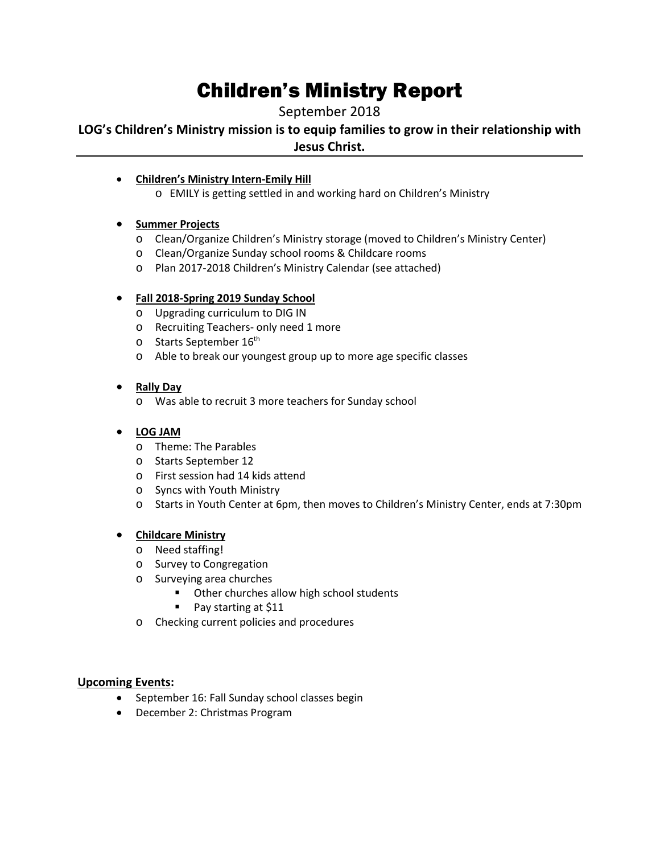# Children's Ministry Report

September 2018

**LOG's Children's Ministry mission is to equip families to grow in their relationship with Jesus Christ.**

- **Children's Ministry Intern-Emily Hill**
	- o EMILY is getting settled in and working hard on Children's Ministry

### • **Summer Projects**

- o Clean/Organize Children's Ministry storage (moved to Children's Ministry Center)
- o Clean/Organize Sunday school rooms & Childcare rooms
- o Plan 2017-2018 Children's Ministry Calendar (see attached)

### • **Fall 2018-Spring 2019 Sunday School**

- o Upgrading curriculum to DIG IN
- o Recruiting Teachers- only need 1 more
- $\circ$  Starts September 16<sup>th</sup>
- o Able to break our youngest group up to more age specific classes

## • **Rally Day**

o Was able to recruit 3 more teachers for Sunday school

## • **LOG JAM**

- o Theme: The Parables
- o Starts September 12
- o First session had 14 kids attend
- o Syncs with Youth Ministry
- o Starts in Youth Center at 6pm, then moves to Children's Ministry Center, ends at 7:30pm

### • **Childcare Ministry**

- o Need staffing!
- o Survey to Congregation
- o Surveying area churches
	- **•** Other churches allow high school students
	- Pay starting at \$11
- o Checking current policies and procedures

### **Upcoming Events:**

- September 16: Fall Sunday school classes begin
- December 2: Christmas Program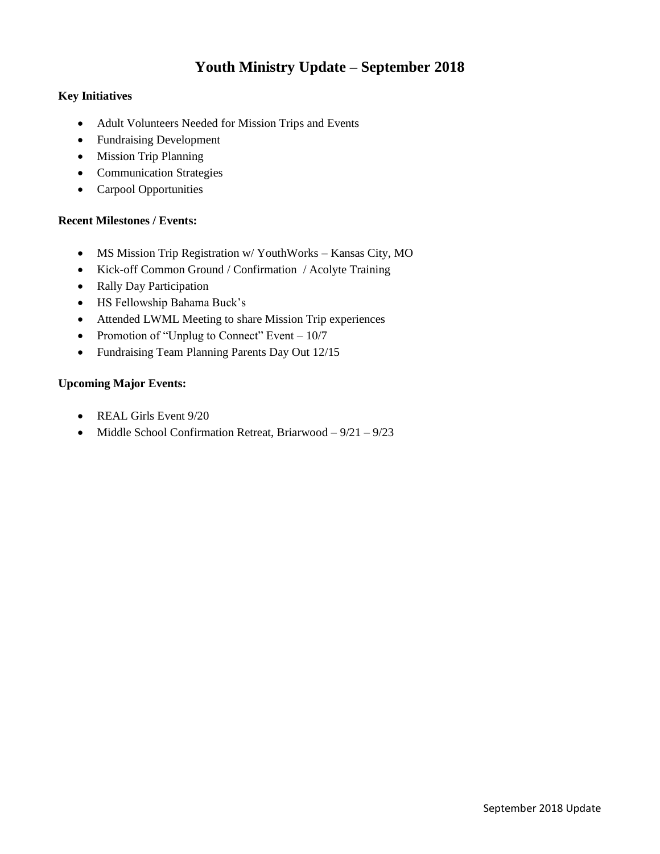## **Youth Ministry Update – September 2018**

#### **Key Initiatives**

- Adult Volunteers Needed for Mission Trips and Events
- Fundraising Development
- Mission Trip Planning
- Communication Strategies
- Carpool Opportunities

### **Recent Milestones / Events:**

- MS Mission Trip Registration w/ YouthWorks Kansas City, MO
- Kick-off Common Ground / Confirmation / Acolyte Training
- Rally Day Participation
- HS Fellowship Bahama Buck's
- Attended LWML Meeting to share Mission Trip experiences
- Promotion of "Unplug to Connect" Event  $-10/7$
- Fundraising Team Planning Parents Day Out 12/15

#### **Upcoming Major Events:**

- REAL Girls Event 9/20
- Middle School Confirmation Retreat, Briarwood  $-9/21 9/23$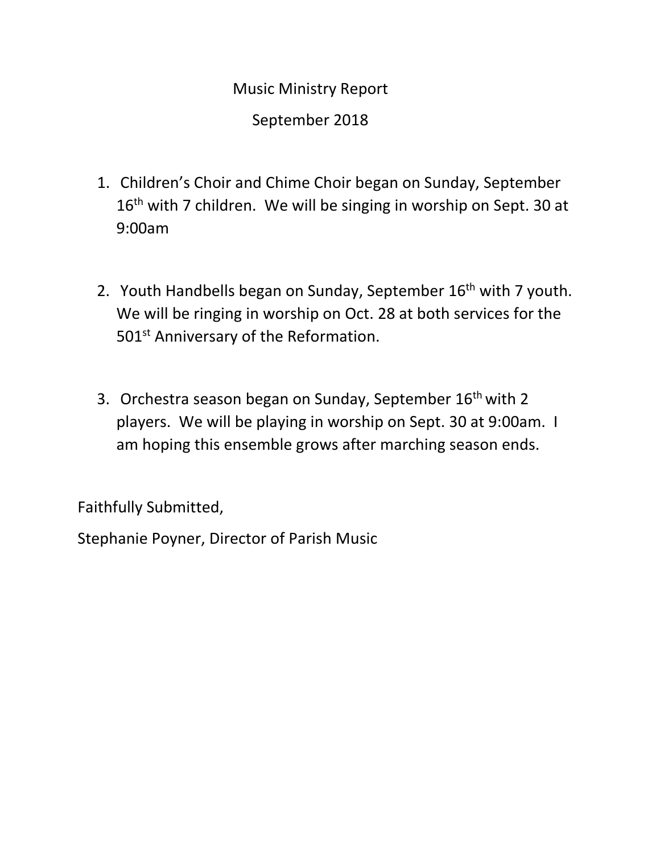- 1. Children's Choir and Chime Choir began on Sunday, September 16<sup>th</sup> with 7 children. We will be singing in worship on Sept. 30 at 9:00am
- 2. Youth Handbells began on Sunday, September 16<sup>th</sup> with 7 youth. We will be ringing in worship on Oct. 28 at both services for the 501<sup>st</sup> Anniversary of the Reformation.
- 3. Orchestra season began on Sunday, September 16<sup>th</sup> with 2 players. We will be playing in worship on Sept. 30 at 9:00am. I am hoping this ensemble grows after marching season ends.

Faithfully Submitted,

Stephanie Poyner, Director of Parish Music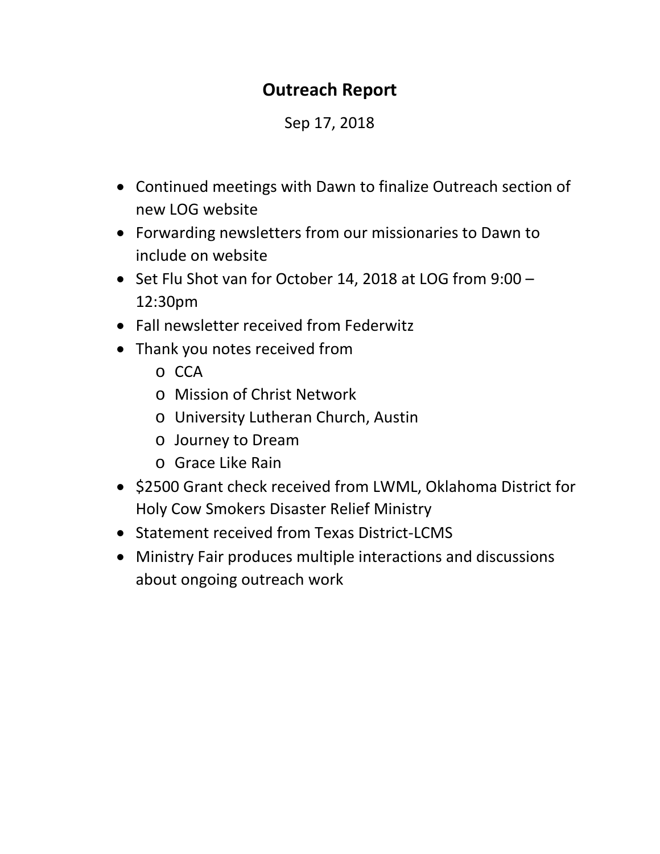## **Outreach Report**

## Sep 17, 2018

- Continued meetings with Dawn to finalize Outreach section of new LOG website
- Forwarding newsletters from our missionaries to Dawn to include on website
- Set Flu Shot van for October 14, 2018 at LOG from 9:00 12:30pm
- Fall newsletter received from Federwitz
- Thank you notes received from
	- o CCA
	- o Mission of Christ Network
	- o University Lutheran Church, Austin
	- o Journey to Dream
	- o Grace Like Rain
- \$2500 Grant check received from LWML, Oklahoma District for Holy Cow Smokers Disaster Relief Ministry
- Statement received from Texas District-LCMS
- Ministry Fair produces multiple interactions and discussions about ongoing outreach work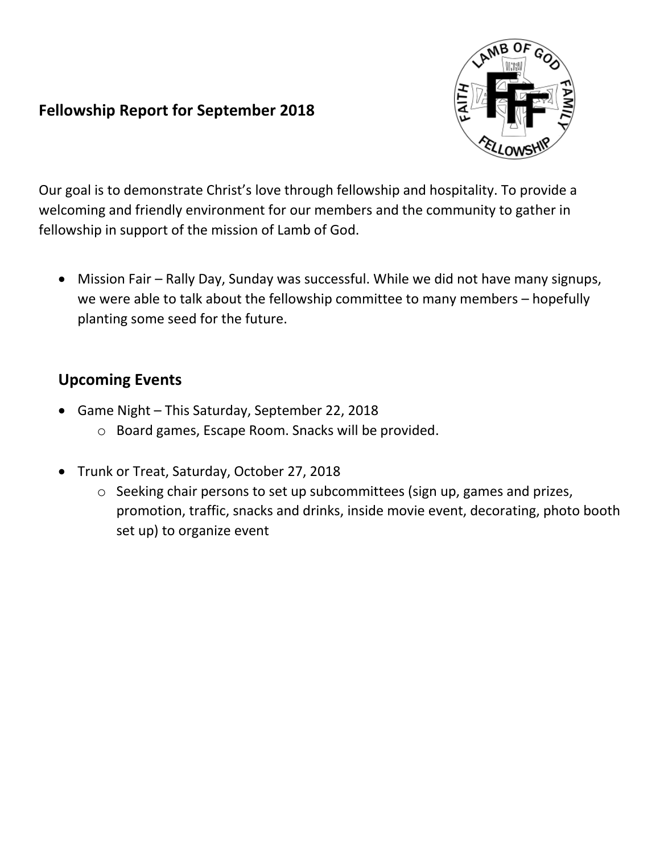## **Fellowship Report for September 2018**



Our goal is to demonstrate Christ's love through fellowship and hospitality. To provide a welcoming and friendly environment for our members and the community to gather in fellowship in support of the mission of Lamb of God.

• Mission Fair – Rally Day, Sunday was successful. While we did not have many signups, we were able to talk about the fellowship committee to many members – hopefully planting some seed for the future.

## **Upcoming Events**

- Game Night This Saturday, September 22, 2018
	- o Board games, Escape Room. Snacks will be provided.
- Trunk or Treat, Saturday, October 27, 2018
	- o Seeking chair persons to set up subcommittees (sign up, games and prizes, promotion, traffic, snacks and drinks, inside movie event, decorating, photo booth set up) to organize event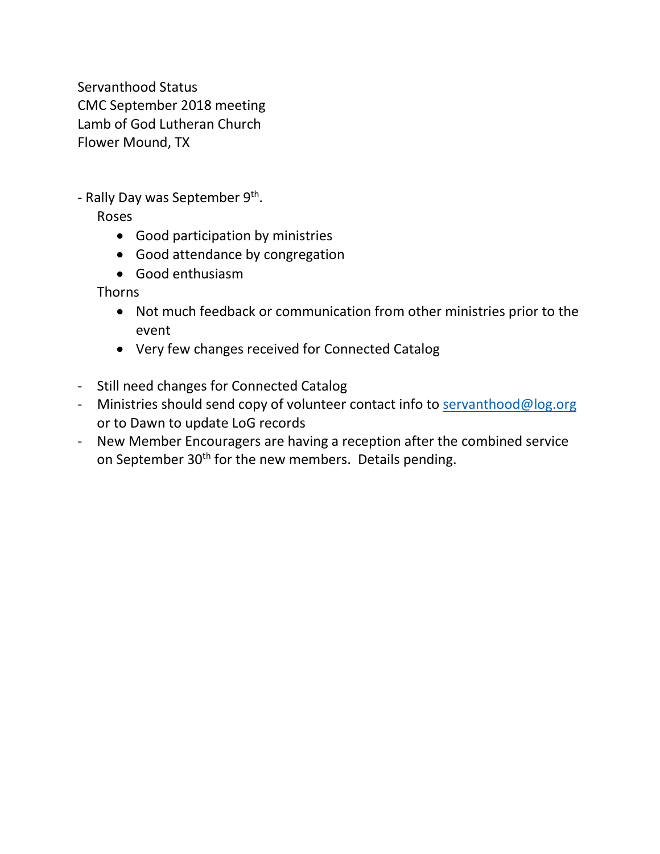Servanthood Status CMC September 2018 meeting Lamb of God Lutheran Church Flower Mound, TX

- Rally Day was September  $9<sup>th</sup>$ .

Roses

- Good participation by ministries
- Good attendance by congregation
- Good enthusiasm

Thorns

- Not much feedback or communication from other ministries prior to the event
- Very few changes received for Connected Catalog
- Still need changes for Connected Catalog
- Ministries should send copy of volunteer contact info to [servanthood@log.org](mailto:servanthood@log.org) or to Dawn to update LoG records
- New Member Encouragers are having a reception after the combined service on September 30<sup>th</sup> for the new members. Details pending.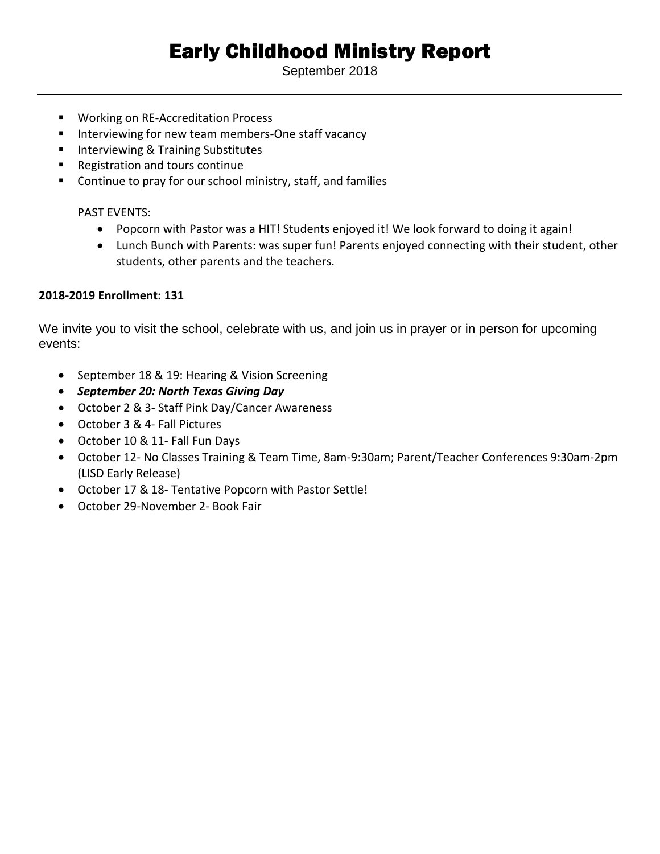# Early Childhood Ministry Report

September 2018

- Working on RE-Accreditation Process
- Interviewing for new team members-One staff vacancy
- Interviewing & Training Substitutes
- Registration and tours continue
- Continue to pray for our school ministry, staff, and families

## PAST EVENTS:

- Popcorn with Pastor was a HIT! Students enjoyed it! We look forward to doing it again!
- Lunch Bunch with Parents: was super fun! Parents enjoyed connecting with their student, other students, other parents and the teachers.

## **2018-2019 Enrollment: 131**

We invite you to visit the school, celebrate with us, and join us in prayer or in person for upcoming events:

- September 18 & 19: Hearing & Vision Screening
- *September 20: North Texas Giving Day*
- October 2 & 3- Staff Pink Day/Cancer Awareness
- October 3 & 4- Fall Pictures
- October 10 & 11- Fall Fun Days
- October 12- No Classes Training & Team Time, 8am-9:30am; Parent/Teacher Conferences 9:30am-2pm (LISD Early Release)
- October 17 & 18- Tentative Popcorn with Pastor Settle!
- October 29-November 2- Book Fair